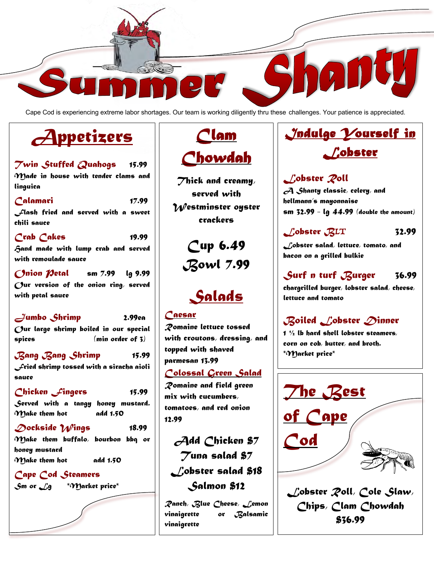

Cape Cod is experiencing extreme labor shortages. Our team is working diligently thru these challenges. Your patience is appreciated.

# *Appetizers*

- *Twin Stuffed Quahogs 15.99 Made in house with tender clams and linguica*
- *Calamari 17.99 Flash fried and served with a sweet chili sauce*
- *Crab Cakes 19.99 Hand made with lump crab and served with remoulade sauce*
- *Onion Petal sm 7.99 lg 9.99 Our version of the onion ring, served with petal sauce*

*Jumbo Shrimp 2.99ea Our large shrimp boiled in our special spices (min order of 3)*

*Bang Bang Shrimp 15.99 Fried shrimp tossed with a siracha aioli sauce*

- *Chicken Fingers 15.99 Served with a tangy honey mustard. Make them hot add 1.50*
- *Dockside Wings 18.99 Make them buffalo, bourbon bbq or*

*honey mustard Make them hot add 1.50*

#### *Cape Cod Steamers*



*Sm or Lg \*Market price\**

## *Clam Chowdah*

*Thick and creamy, served with Westminster oyster crackers*

> *Cup 6.49 Bowl 7.99*

## *Salads*

### *Caesar*

*Romaine lettuce tossed with croutons, dressing, and topped with shaved parmesan 13.99 Colossal Green Salad Romaine and field green* 

*mix with cucumbers, tomatoes, and red onion 12.99*

*Add Chicken \$7 Tuna salad \$7 Lobster salad \$18 Salmon \$12*

*Ranch, Blue Cheese, Lemon vinaigrette or Balsamic vinaigrette*

## *Indulge Yourself in Lobster*

### *Lobster Roll A Shanty classic, celery, and hellmann's mayonnaise sm 32.99 - lg 44.99 (double the amount)*

## *Lobster B*LT *32.99*

*Lobster salad, lettuce, tomato, and bacon on a grilled bulkie*

## *Surf n turf Burger 36.99*

*chargrilled burger, lobster salad, cheese, lettuce and tomato*

## *Boiled Lobster Dinner*

*1 ½ lb hard shell lobster steamers, corn on cob, butter, and broth. \*Market price\**



*\$36.99*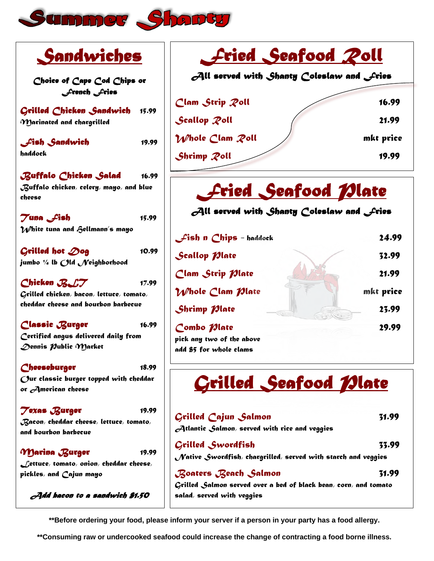

| Sandwiches                                                       | <u> Fried Seafood Poll</u><br>$\partial$ ll served with Shanty Coleslaw and Lries |           |
|------------------------------------------------------------------|-----------------------------------------------------------------------------------|-----------|
| Choice of Cape Cod Chips or<br>French Fries                      |                                                                                   |           |
| Grilled Chicken Sandwich<br>15.99                                | Clam Strip Poll                                                                   | 16.99     |
| $\boldsymbol{\gamma}$ ) arinated and chargrilled                 | Scallop Poll                                                                      | 21.99     |
| <b>Lish Sandwich</b><br>19.99                                    | Whole Clam Poll                                                                   | mkt price |
| haddock                                                          | Shrimp Poll                                                                       | 19.99     |
| Buffalo Chicken Salad<br>16.99                                   |                                                                                   |           |
| ${\mathcal{B}}$ uffalo chicken, celery, mayo, and blue<br>cheese | <u> Fried Seafood Dlate</u>                                                       |           |
| $7$ una $f$ ish<br>15.99                                         | $\partial$ ll served with Shanty Coleslaw and $\mathcal{L}$ ries                  |           |
| $\mathcal W$ hite tuna and Gellmann $\check{\ }$ s mayo          |                                                                                   |           |
|                                                                  | $\mathcal{L}$ ish n Chips - haddock                                               | 24.99     |
| Grilled hot $\mathcal{D}$ og<br>10.99                            | Scallop <i>Mate</i>                                                               | 32.99     |
| jumbo ¼ lb $O$ ld $\cal N$ eighborhood                           |                                                                                   |           |
| Chicken RLT<br>17.99                                             | Clam Strip <i>Plate</i>                                                           | 21.99     |
| $\boldsymbol{G}$ rilled chicken, bacon, lettuce, tomato,         | Whole Clam Plate                                                                  | mkt price |
| cheddar cheese and bourbon barbecue                              | Shrimp <i>Plate</i>                                                               | 23.99     |
| Classic Burger<br>16.99                                          | Combo <i>Plate</i>                                                                | 29.99     |
| Certified angus delivered daily from                             | pick any two of the above                                                         |           |
| Dennis Public Market                                             | add \$5 for whole clams                                                           |           |
| Cheeseburger<br>18.99                                            |                                                                                   |           |
| Our classic burger topped with cheddar<br>or American cheese     | <u> Grilled Seafood Mate</u>                                                      |           |
| <b>Texas Burger</b><br>19.99                                     |                                                                                   |           |
| $\mathcal{\mathcal{B}}$ acon, cheddar cheese, lettuce, tomato,   | Grilled Cajun Salmon                                                              | 31.99     |
| and bourbon barbecue                                             | $\mathcal A$ tlantic Salmon, served with rice and veggies                         |           |
| <i>M</i> arina Burger<br>19.99                                   | Grilled Swordfish                                                                 | 33.99     |
| $\mathcal L$ ettuce, tomato, onion, cheddar cheese,              | $\sqrt{N}$ ative Swordfish, chargrilled, served with starch and veggies           |           |
| pickles, and Cajun mayo                                          | Boaters Beach Salmon                                                              | 31.99     |
|                                                                  | Grilled Salmon served over a bed of black bean, corn, and tomato                  |           |
| $A$ dd bacon to a sandwich \$1.50                                | salad, served with veggies                                                        |           |

**\*\*Before ordering your food, please inform your server if a person in your party has a food allergy.**

**\*\*Consuming raw or undercooked seafood could increase the change of contracting a food borne illness.**